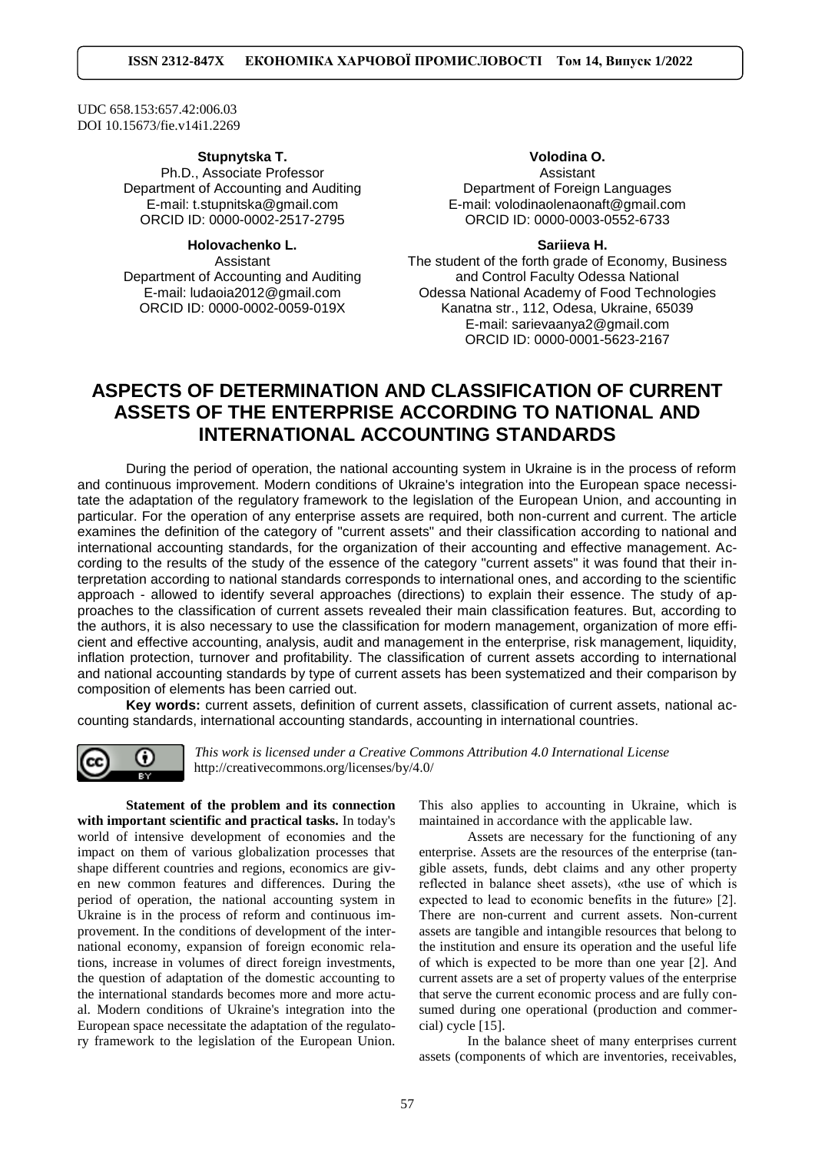UDC 658.153:657.42:006.03 DOI [10.15673/fie.v14i1.2269](https://doi.org/10.15673/fie.v14i1.2269)

#### **Stupnytska T.**

Ph.D., Associate Professor Department of Accounting and Auditing E-mail: [t.stupnitska@gmail.com](mailto:t.stupnitska@gmail.com) ORCID ID: 0000-0002-2517-2795

# **Holovachenko L.**

Assistant Department of Accounting and Auditing E-mail[:](mailto:%20t.stupnitska@) [ludaoia2012@gmail.com](mailto:%20t.stupnitska@) ORCID ID: 0000-0002-0059-019X

## **Volodina O.** Assistant Department of Foreign Languages E-mail: volodinaolenaonaft@gmail.com

ORCID ID: 0000-0003-0552-6733

**Sariieva H.**

The student of the forth grade of Economy, Business and Control Faculty Odessa National Odessa National Academy of Food Technologies Kanatna str., 112, Odesa, Ukraine, 65039 E-mail: sarievaanya2@gmail.com ORCID ID: 0000-0001-5623-2167

# **ASPECTS OF DETERMINATION AND CLASSIFICATION OF CURRENT ASSETS OF THE ENTERPRISE ACCORDING TO NATIONAL AND INTERNATIONAL ACCOUNTING STANDARDS**

During the period of operation, the national accounting system in Ukraine is in the process of reform and continuous improvement. Modern conditions of Ukraine's integration into the European space necessitate the adaptation of the regulatory framework to the legislation of the European Union, and accounting in particular. For the operation of any enterprise assets are required, both non-current and current. The article examines the definition of the category of "current assets" and their classification according to national and international accounting standards, for the organization of their accounting and effective management. According to the results of the study of the essence of the category "current assets" it was found that their interpretation according to national standards corresponds to international ones, and according to the scientific approach - allowed to identify several approaches (directions) to explain their essence. The study of approaches to the classification of current assets revealed their main classification features. But, according to the authors, it is also necessary to use the classification for modern management, organization of more efficient and effective accounting, analysis, audit and management in the enterprise, risk management, liquidity, inflation protection, turnover and profitability. The classification of current assets according to international and national accounting standards by type of current assets has been systematized and their comparison by composition of elements has been carried out.

**Key words:** current assets, definition of current assets, classification of current assets, national accounting standards, international accounting standards, accounting in international countries.



*This work is licensed under a [Creative Commons Attribution 4.0 International License](http://creativecommons.org/licenses/by/4.0/)* <http://creativecommons.org/licenses/by/4.0/>

**Statement of the problem and its connection with important scientific and practical tasks.** In today's world of intensive development of economies and the impact on them of various globalization processes that shape different countries and regions, economics are given new common features and differences. During the period of operation, the national accounting system in Ukraine is in the process of reform and continuous improvement. In the conditions of development of the international economy, expansion of foreign economic relations, increase in volumes of direct foreign investments, the question of adaptation of the domestic accounting to the international standards becomes more and more actual. Modern conditions of Ukraine's integration into the European space necessitate the adaptation of the regulatory framework to the legislation of the European Union.

This also applies to accounting in Ukraine, which is maintained in accordance with the applicable law.

Assets are necessary for the functioning of any enterprise. Assets are the resources of the enterprise (tangible assets, funds, debt claims and any other property reflected in balance sheet assets), «the use of which is expected to lead to economic benefits in the future» [2]. There are non-current and current assets. Non-current assets are tangible and intangible resources that belong to the institution and ensure its operation and the useful life of which is expected to be more than one year [2]. And current assets are a set of property values of the enterprise that serve the current economic process and are fully consumed during one operational (production and commercial) cycle [15].

In the balance sheet of many enterprises current assets (components of which are inventories, receivables,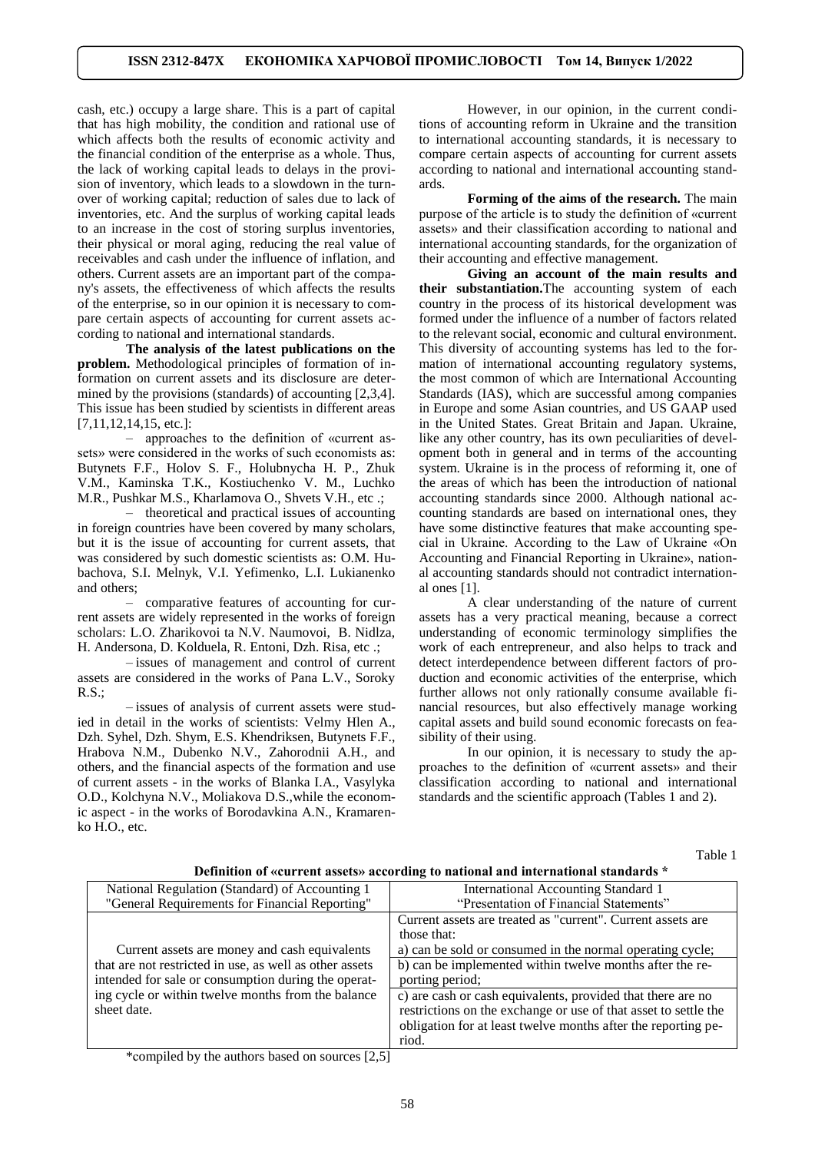cash, etc.) occupy a large share. This is a part of capital that has high mobility, the condition and rational use of which affects both the results of economic activity and the financial condition of the enterprise as a whole. Thus, the lack of working capital leads to delays in the provision of inventory, which leads to a slowdown in the turnover of working capital; reduction of sales due to lack of inventories, etc. And the surplus of working capital leads to an increase in the cost of storing surplus inventories, their physical or moral aging, reducing the real value of receivables and cash under the influence of inflation, and others. Current assets are an important part of the company's assets, the effectiveness of which affects the results of the enterprise, so in our opinion it is necessary to compare certain aspects of accounting for current assets according to national and international standards.

**The analysis of the latest publications on the problem.** Methodological principles of formation of information on current assets and its disclosure are determined by the provisions (standards) of accounting [2,3,4]. This issue has been studied by scientists in different areas [7,11,12,14,15, etc.]:

– approaches to the definition of «current assets» were considered in the works of such economists as: Butynets F.F., Holov S. F., Holubnycha H. P., Zhuk V.M., Kaminska T.K., Kostiuchenko V. M., Luchko M.R., Pushkar M.S., Kharlamova O., Shvets V.H., etc .;

– theoretical and practical issues of accounting in foreign countries have been covered by many scholars, but it is the issue of accounting for current assets, that was considered by such domestic scientists as: O.M. Hubachova, S.I. Melnyk, V.I. Yefimenko, L.I. Lukianenko and others;

– comparative features of accounting for current assets are widely represented in the works of foreign scholars: L.O. Zharikovoi ta N.V. Naumovoi, B. Nidlza, H. Andersona, D. Kolduela, R. Entoni, Dzh. Risa, etc .;

– issues of management and control of current assets are considered in the works of Pana L.V., Soroky R.S.;

– issues of analysis of current assets were studied in detail in the works of scientists: Velmy Hlen A., Dzh. Syhel, Dzh. Shym, E.S. Khendriksen, Butynets F.F., Hrabova N.M., Dubenko N.V., Zahorodnii A.H., and others, and the financial aspects of the formation and use of current assets - in the works of Blanka I.A., Vasylyka O.D., Kolchyna N.V., Moliakova D.S.,while the economic aspect - in the works of Borodavkina A.N., Kramarenko H.O., etc.

However, in our opinion, in the current conditions of accounting reform in Ukraine and the transition to international accounting standards, it is necessary to compare certain aspects of accounting for current assets according to national and international accounting standards.

**Forming of the aims of the research.** The main purpose of the article is to study the definition of «current assets» and their classification according to national and international accounting standards, for the organization of their accounting and effective management.

**Giving an account of the main results and their substantiation.**The accounting system of each country in the process of its historical development was formed under the influence of a number of factors related to the relevant social, economic and cultural environment. This diversity of accounting systems has led to the formation of international accounting regulatory systems, the most common of which are International Accounting Standards (IAS), which are successful among companies in Europe and some Asian countries, and US GAAP used in the United States. Great Britain and Japan. Ukraine, like any other country, has its own peculiarities of development both in general and in terms of the accounting system. Ukraine is in the process of reforming it, one of the areas of which has been the introduction of national accounting standards since 2000. Although national accounting standards are based on international ones, they have some distinctive features that make accounting special in Ukraine. According to the Law of Ukraine «On Accounting and Financial Reporting in Ukraine», national accounting standards should not contradict international ones [1].

A clear understanding of the nature of current assets has a very practical meaning, because a correct understanding of economic terminology simplifies the work of each entrepreneur, and also helps to track and detect interdependence between different factors of production and economic activities of the enterprise, which further allows not only rationally consume available financial resources, but also effectively manage working capital assets and build sound economic forecasts on feasibility of their using.

In our opinion, it is necessary to study the approaches to the definition of «current assets» and their classification according to national and international standards and the scientific approach (Tables 1 and 2).

Table 1

| Definition of «current assets» according to national and international standards * |
|------------------------------------------------------------------------------------|
|------------------------------------------------------------------------------------|

| Demntion of weart ent assets?? according to national and international standards                                                                                                                                                     |                                                                 |  |  |
|--------------------------------------------------------------------------------------------------------------------------------------------------------------------------------------------------------------------------------------|-----------------------------------------------------------------|--|--|
| National Regulation (Standard) of Accounting 1                                                                                                                                                                                       | International Accounting Standard 1                             |  |  |
| "General Requirements for Financial Reporting"                                                                                                                                                                                       | "Presentation of Financial Statements"                          |  |  |
| Current assets are money and cash equivalents<br>that are not restricted in use, as well as other assets<br>intended for sale or consumption during the operat-<br>ing cycle or within twelve months from the balance<br>sheet date. | Current assets are treated as "current". Current assets are     |  |  |
|                                                                                                                                                                                                                                      | those that:                                                     |  |  |
|                                                                                                                                                                                                                                      | a) can be sold or consumed in the normal operating cycle;       |  |  |
|                                                                                                                                                                                                                                      | b) can be implemented within twelve months after the re-        |  |  |
|                                                                                                                                                                                                                                      | porting period;                                                 |  |  |
|                                                                                                                                                                                                                                      | c) are cash or cash equivalents, provided that there are no     |  |  |
|                                                                                                                                                                                                                                      | restrictions on the exchange or use of that asset to settle the |  |  |
|                                                                                                                                                                                                                                      | obligation for at least twelve months after the reporting pe-   |  |  |
|                                                                                                                                                                                                                                      | riod.                                                           |  |  |

\*сompiled by the authors based on sources [2,5]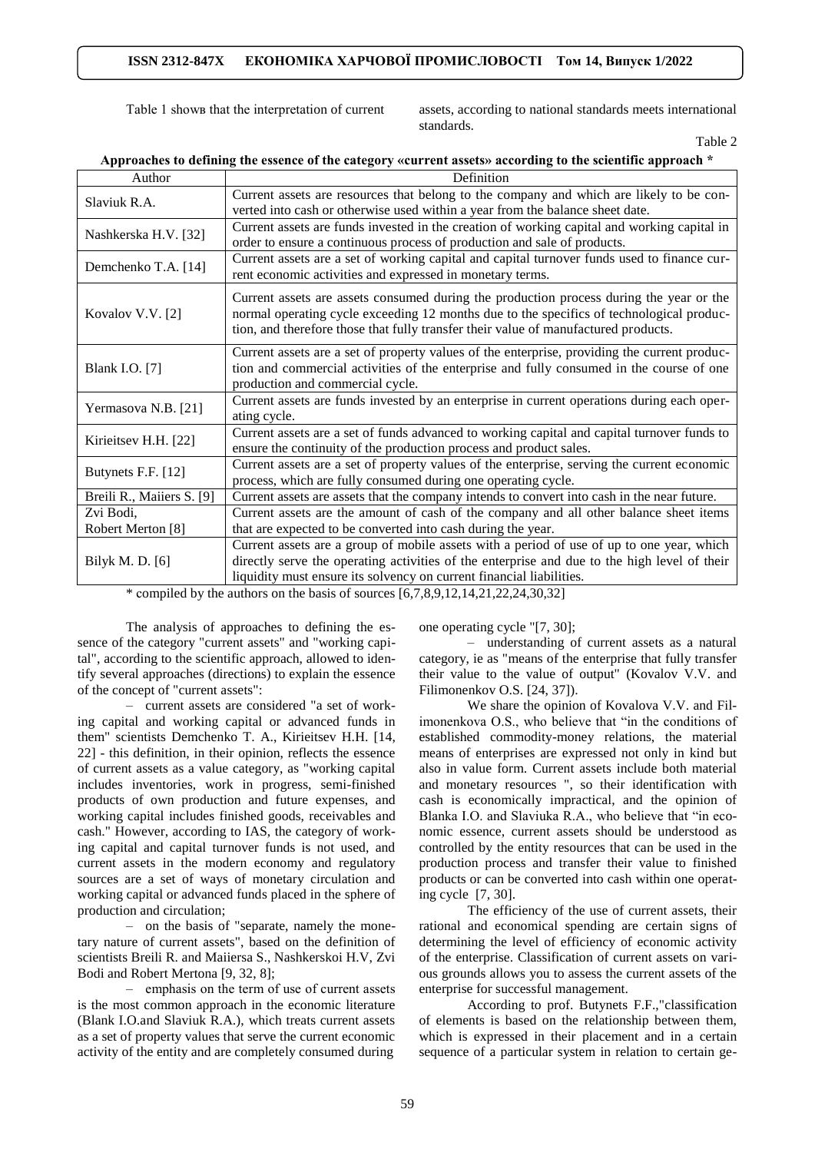Table 1 shows that the interpretation of current assets, according to national standards meets international standards.

Table 2

| Author                    | Definition                                                                                                                                                                                                                                                                 |  |  |
|---------------------------|----------------------------------------------------------------------------------------------------------------------------------------------------------------------------------------------------------------------------------------------------------------------------|--|--|
| Slaviuk R.A.              | Current assets are resources that belong to the company and which are likely to be con-<br>verted into cash or otherwise used within a year from the balance sheet date.                                                                                                   |  |  |
| Nashkerska H.V. [32]      | Current assets are funds invested in the creation of working capital and working capital in<br>order to ensure a continuous process of production and sale of products.                                                                                                    |  |  |
| Demchenko T.A. [14]       | Current assets are a set of working capital and capital turnover funds used to finance cur-<br>rent economic activities and expressed in monetary terms.                                                                                                                   |  |  |
| Kovalov V.V. [2]          | Current assets are assets consumed during the production process during the year or the<br>normal operating cycle exceeding 12 months due to the specifics of technological produc-<br>tion, and therefore those that fully transfer their value of manufactured products. |  |  |
| <b>Blank I.O.</b> [7]     | Current assets are a set of property values of the enterprise, providing the current produc-<br>tion and commercial activities of the enterprise and fully consumed in the course of one<br>production and commercial cycle.                                               |  |  |
| Yermasova N.B. [21]       | Current assets are funds invested by an enterprise in current operations during each oper-<br>ating cycle.                                                                                                                                                                 |  |  |
| Kirieitsev H.H. [22]      | Current assets are a set of funds advanced to working capital and capital turnover funds to<br>ensure the continuity of the production process and product sales.                                                                                                          |  |  |
| Butynets F.F. [12]        | Current assets are a set of property values of the enterprise, serving the current economic<br>process, which are fully consumed during one operating cycle.                                                                                                               |  |  |
| Breili R., Maiiers S. [9] | Current assets are assets that the company intends to convert into cash in the near future.                                                                                                                                                                                |  |  |
| Zvi Bodi,                 | Current assets are the amount of cash of the company and all other balance sheet items                                                                                                                                                                                     |  |  |
| Robert Merton [8]         | that are expected to be converted into cash during the year.                                                                                                                                                                                                               |  |  |
| Bilyk M. D. [6]           | Current assets are a group of mobile assets with a period of use of up to one year, which<br>directly serve the operating activities of the enterprise and due to the high level of their<br>liquidity must ensure its solvency on current financial liabilities.          |  |  |

**Approaches to defining the essence of the category «current assets» according to the scientific approach \***

\* compiled by the authors on the basis of sources  $[6,7,8,9,12,14,21,22,24,30,32]$ 

The analysis of approaches to defining the essence of the category "current assets" and "working capital", according to the scientific approach, allowed to identify several approaches (directions) to explain the essence of the concept of "current assets":

– current assets are considered "a set of working capital and working capital or advanced funds in them" scientists Demchenko T. A., Kirieitsev H.H. [14, 22] - this definition, in their opinion, reflects the essence of current assets as a value category, as "working capital includes inventories, work in progress, semi-finished products of own production and future expenses, and working capital includes finished goods, receivables and cash." However, according to IAS, the category of working capital and capital turnover funds is not used, and current assets in the modern economy and regulatory sources are a set of ways of monetary circulation and working capital or advanced funds placed in the sphere of production and circulation;

– on the basis of "separate, namely the monetary nature of current assets", based on the definition of scientists Breili R. and Maiiersa S., Nashkerskoi H.V, Zvi Bodi and Robert Mertona [9, 32, 8];

– еmphasis on the term of use of current assets is the most common approach in the economic literature (Blank I.O.and Slaviuk R.A.), which treats current assets as a set of property values that serve the current economic activity of the entity and are completely consumed during

one operating cycle "[7, 30];

– understanding of current assets as a natural category, ie as "means of the enterprise that fully transfer their value to the value of output" (Kovalov V.V. and Filimonenkov O.S. [24, 37]).

We share the opinion of Kovalova V.V. and Filimonenkova O.S., who believe that "in the conditions of established commodity-money relations, the material means of enterprises are expressed not only in kind but also in value form. Current assets include both material and monetary resources ", so their identification with cash is economically impractical, and the opinion of Blanka I.O. and Slaviuka R.A., who believe that "in economic essence, current assets should be understood as controlled by the entity resources that can be used in the production process and transfer their value to finished products or can be converted into cash within one operating cycle [7, 30].

The efficiency of the use of current assets, their rational and economical spending are certain signs of determining the level of efficiency of economic activity of the enterprise. Classification of current assets on various grounds allows you to assess the current assets of the enterprise for successful management.

According to prof. Butynets F.F.,"classification of elements is based on the relationship between them, which is expressed in their placement and in a certain sequence of a particular system in relation to certain ge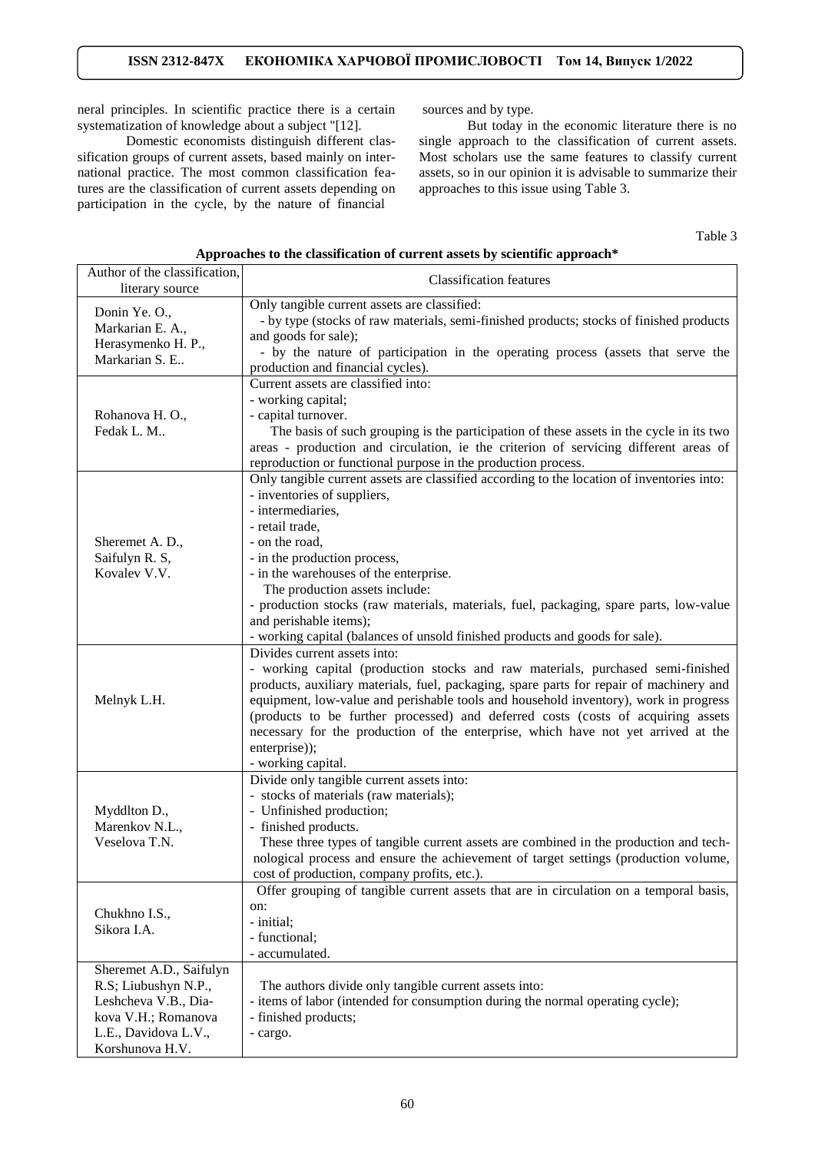neral principles. In scientific practice there is a certain systematization of knowledge about a subject "[12].

Domestic economists distinguish different classification groups of current assets, based mainly on international practice. The most common classification features are the classification of current assets depending on participation in the cycle, by the nature of financial

sources and by type.

But today in the economic literature there is no single approach to the classification of current assets. Most scholars use the same features to classify current assets, so in our opinion it is advisable to summarize their approaches to this issue using Table 3.

Table 3

### **Approaches to the classification of current assets by scientific approach\***

| Author of the classification, | <b>Classification features</b>                                                             |  |
|-------------------------------|--------------------------------------------------------------------------------------------|--|
| literary source               |                                                                                            |  |
| Donin Ye. O.,                 | Only tangible current assets are classified:                                               |  |
| Markarian E. A.,              | - by type (stocks of raw materials, semi-finished products; stocks of finished products    |  |
| Herasymenko H. P.,            | and goods for sale);                                                                       |  |
| Markarian S. E                | - by the nature of participation in the operating process (assets that serve the           |  |
|                               | production and financial cycles).                                                          |  |
|                               | Current assets are classified into:                                                        |  |
|                               | - working capital;                                                                         |  |
| Rohanova H. O.,               | - capital turnover.                                                                        |  |
| Fedak L. M                    | The basis of such grouping is the participation of these assets in the cycle in its two    |  |
|                               | areas - production and circulation, ie the criterion of servicing different areas of       |  |
|                               | reproduction or functional purpose in the production process.                              |  |
|                               | Only tangible current assets are classified according to the location of inventories into: |  |
|                               | - inventories of suppliers,                                                                |  |
|                               | - intermediaries,                                                                          |  |
|                               | - retail trade,                                                                            |  |
| Sheremet A. D.,               | - on the road,                                                                             |  |
| Saifulyn R. S,                | - in the production process,                                                               |  |
| Kovalev V.V.                  | - in the warehouses of the enterprise.                                                     |  |
|                               | The production assets include:                                                             |  |
|                               | - production stocks (raw materials, materials, fuel, packaging, spare parts, low-value     |  |
|                               | and perishable items);                                                                     |  |
|                               | - working capital (balances of unsold finished products and goods for sale).               |  |
|                               | Divides current assets into:                                                               |  |
|                               |                                                                                            |  |
|                               | - working capital (production stocks and raw materials, purchased semi-finished            |  |
|                               | products, auxiliary materials, fuel, packaging, spare parts for repair of machinery and    |  |
| Melnyk L.H.                   | equipment, low-value and perishable tools and household inventory), work in progress       |  |
|                               | (products to be further processed) and deferred costs (costs of acquiring assets           |  |
|                               | necessary for the production of the enterprise, which have not yet arrived at the          |  |
|                               | enterprise));                                                                              |  |
|                               | - working capital.                                                                         |  |
|                               | Divide only tangible current assets into:                                                  |  |
|                               | - stocks of materials (raw materials);                                                     |  |
| Myddlton D.,                  | - Unfinished production;                                                                   |  |
| Marenkov N.L.,                | - finished products.                                                                       |  |
| Veselova T.N.                 | These three types of tangible current assets are combined in the production and tech-      |  |
|                               | nological process and ensure the achievement of target settings (production volume,        |  |
|                               | cost of production, company profits, etc.).                                                |  |
| Chukhno I.S.,<br>Sikora I.A.  | Offer grouping of tangible current assets that are in circulation on a temporal basis,     |  |
|                               | on:                                                                                        |  |
|                               | - initial;                                                                                 |  |
|                               | - functional;                                                                              |  |
|                               | - accumulated.                                                                             |  |
| Sheremet A.D., Saifulyn       |                                                                                            |  |
| R.S; Liubushyn N.P.,          | The authors divide only tangible current assets into:                                      |  |
| Leshcheva V.B., Dia-          | - items of labor (intended for consumption during the normal operating cycle);             |  |
| kova V.H.; Romanova           | - finished products;                                                                       |  |
| L.E., Davidova L.V.,          | - cargo.                                                                                   |  |
| Korshunova H.V.               |                                                                                            |  |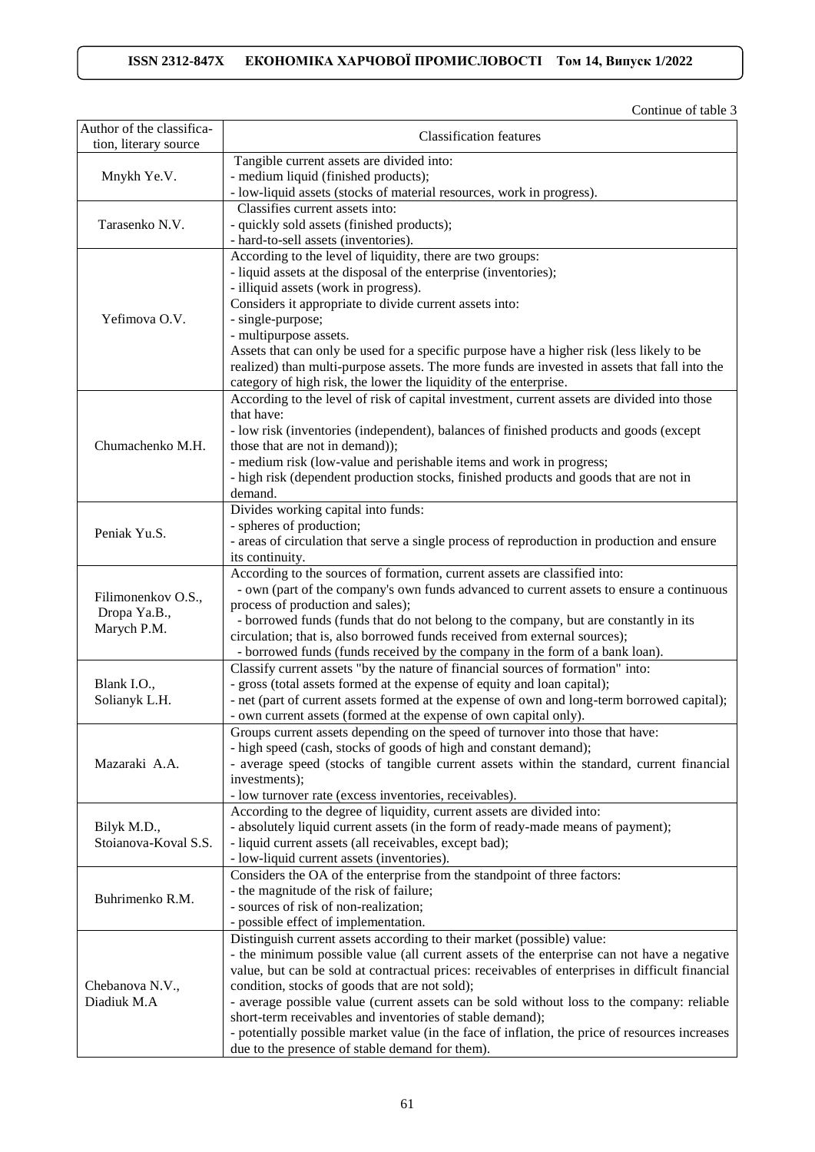Continue of table 3

| Author of the classifica-<br>tion, literary source | <b>Classification features</b>                                                                                 |  |
|----------------------------------------------------|----------------------------------------------------------------------------------------------------------------|--|
|                                                    | Tangible current assets are divided into:                                                                      |  |
| Mnykh Ye.V.                                        | - medium liquid (finished products);                                                                           |  |
|                                                    | - low-liquid assets (stocks of material resources, work in progress).                                          |  |
|                                                    | Classifies current assets into:                                                                                |  |
| Tarasenko N.V.                                     | - quickly sold assets (finished products);                                                                     |  |
|                                                    | - hard-to-sell assets (inventories).                                                                           |  |
|                                                    | According to the level of liquidity, there are two groups:                                                     |  |
|                                                    | - liquid assets at the disposal of the enterprise (inventories);                                               |  |
|                                                    | - illiquid assets (work in progress).                                                                          |  |
|                                                    | Considers it appropriate to divide current assets into:                                                        |  |
| Yefimova O.V.                                      | - single-purpose;                                                                                              |  |
|                                                    | - multipurpose assets.                                                                                         |  |
|                                                    | Assets that can only be used for a specific purpose have a higher risk (less likely to be                      |  |
|                                                    | realized) than multi-purpose assets. The more funds are invested in assets that fall into the                  |  |
|                                                    | category of high risk, the lower the liquidity of the enterprise.                                              |  |
|                                                    | According to the level of risk of capital investment, current assets are divided into those                    |  |
|                                                    | that have:                                                                                                     |  |
|                                                    | - low risk (inventories (independent), balances of finished products and goods (except                         |  |
| Chumachenko M.H.                                   | those that are not in demand));                                                                                |  |
|                                                    | - medium risk (low-value and perishable items and work in progress;                                            |  |
|                                                    | - high risk (dependent production stocks, finished products and goods that are not in                          |  |
|                                                    | demand.                                                                                                        |  |
|                                                    | Divides working capital into funds:                                                                            |  |
|                                                    | - spheres of production;                                                                                       |  |
| Peniak Yu.S.                                       | - areas of circulation that serve a single process of reproduction in production and ensure                    |  |
|                                                    | its continuity.                                                                                                |  |
|                                                    | According to the sources of formation, current assets are classified into:                                     |  |
|                                                    | - own (part of the company's own funds advanced to current assets to ensure a continuous                       |  |
| Filimonenkov O.S.,                                 | process of production and sales);                                                                              |  |
| Dropa Ya.B.,                                       | - borrowed funds (funds that do not belong to the company, but are constantly in its                           |  |
| Marych P.M.                                        | circulation; that is, also borrowed funds received from external sources);                                     |  |
|                                                    | - borrowed funds (funds received by the company in the form of a bank loan).                                   |  |
|                                                    | Classify current assets "by the nature of financial sources of formation" into:                                |  |
| Blank I.O.,                                        | - gross (total assets formed at the expense of equity and loan capital);                                       |  |
| Solianyk L.H.                                      | - net (part of current assets formed at the expense of own and long-term borrowed capital);                    |  |
|                                                    | - own current assets (formed at the expense of own capital only).                                              |  |
|                                                    | Groups current assets depending on the speed of turnover into those that have:                                 |  |
|                                                    | - high speed (cash, stocks of goods of high and constant demand);                                              |  |
| Mazaraki A.A.                                      | - average speed (stocks of tangible current assets within the standard, current financial                      |  |
|                                                    | investments);                                                                                                  |  |
|                                                    | - low turnover rate (excess inventories, receivables).                                                         |  |
|                                                    | According to the degree of liquidity, current assets are divided into:                                         |  |
| Bilyk M.D.,                                        | - absolutely liquid current assets (in the form of ready-made means of payment);                               |  |
| Stoianova-Koval S.S.                               | - liquid current assets (all receivables, except bad);                                                         |  |
|                                                    | - low-liquid current assets (inventories).                                                                     |  |
| Buhrimenko R.M.                                    | Considers the OA of the enterprise from the standpoint of three factors:                                       |  |
|                                                    | - the magnitude of the risk of failure;                                                                        |  |
|                                                    | - sources of risk of non-realization;                                                                          |  |
| Chebanova N.V.,<br>Diadiuk M.A                     | - possible effect of implementation.<br>Distinguish current assets according to their market (possible) value: |  |
|                                                    | - the minimum possible value (all current assets of the enterprise can not have a negative                     |  |
|                                                    | value, but can be sold at contractual prices: receivables of enterprises in difficult financial                |  |
|                                                    | condition, stocks of goods that are not sold);                                                                 |  |
|                                                    | - average possible value (current assets can be sold without loss to the company: reliable                     |  |
|                                                    | short-term receivables and inventories of stable demand);                                                      |  |
|                                                    | - potentially possible market value (in the face of inflation, the price of resources increases                |  |
|                                                    | due to the presence of stable demand for them).                                                                |  |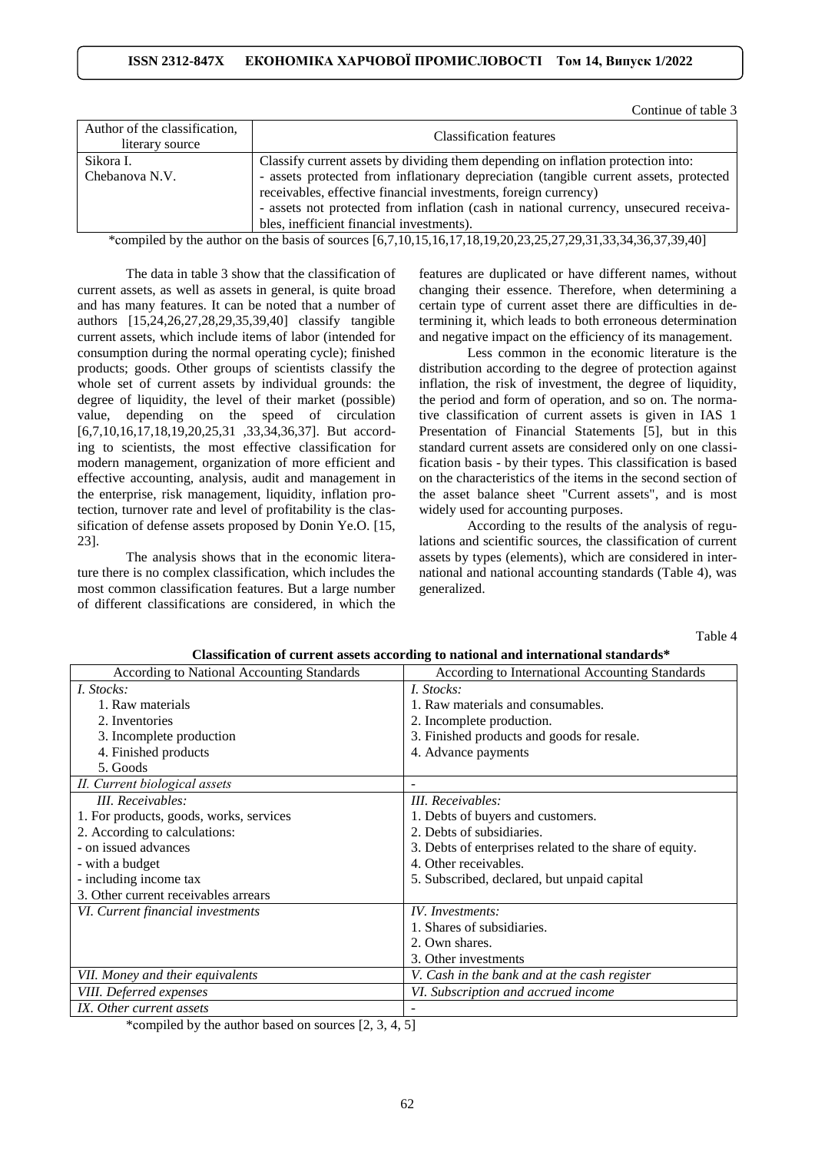Continue of table 3

| Author of the classification,<br>literary source | <b>Classification features</b>                                                        |  |
|--------------------------------------------------|---------------------------------------------------------------------------------------|--|
| Sikora I.                                        | Classify current assets by dividing them depending on inflation protection into:      |  |
| Chebanova N.V.                                   | - assets protected from inflationary depreciation (tangible current assets, protected |  |
|                                                  | receivables, effective financial investments, foreign currency)                       |  |
|                                                  | - assets not protected from inflation (cash in national currency, unsecured receiva-  |  |
|                                                  | bles, inefficient financial investments).                                             |  |

\*сompiled by the author on the basis of sources [6,7,10,15,16,17,18,19,20,23,25,27,29,31,33,34,36,37,39,40]

The data in table 3 show that the classification of current assets, as well as assets in general, is quite broad and has many features. It can be noted that a number of authors [15,24,26,27,28,29,35,39,40] classify tangible current assets, which include items of labor (intended for consumption during the normal operating cycle); finished products; goods. Other groups of scientists classify the whole set of current assets by individual grounds: the degree of liquidity, the level of their market (possible) value, depending on the speed of circulation [6,7,10,16,17,18,19,20,25,31 ,33,34,36,37]. But according to scientists, the most effective classification for modern management, organization of more efficient and effective accounting, analysis, audit and management in the enterprise, risk management, liquidity, inflation protection, turnover rate and level of profitability is the classification of defense assets proposed by Donin Ye.O. [15, 23].

The analysis shows that in the economic literature there is no complex classification, which includes the most common classification features. But a large number of different classifications are considered, in which the

features are duplicated or have different names, without changing their essence. Therefore, when determining a certain type of current asset there are difficulties in determining it, which leads to both erroneous determination and negative impact on the efficiency of its management.

Less common in the economic literature is the distribution according to the degree of protection against inflation, the risk of investment, the degree of liquidity, the period and form of operation, and so on. The normative classification of current assets is given in IAS 1 Presentation of Financial Statements [5], but in this standard current assets are considered only on one classification basis - by their types. This classification is based on the characteristics of the items in the second section of the asset balance sheet "Current assets", and is most widely used for accounting purposes.

According to the results of the analysis of regulations and scientific sources, the classification of current assets by types (elements), which are considered in international and national accounting standards (Table 4), was generalized.

Table 4

| <b>According to National Accounting Standards</b> | According to International Accounting Standards         |
|---------------------------------------------------|---------------------------------------------------------|
| I. Stocks:                                        | I. Stocks:                                              |
| 1. Raw materials                                  | 1. Raw materials and consumables.                       |
| 2. Inventories                                    | 2. Incomplete production.                               |
| 3. Incomplete production                          | 3. Finished products and goods for resale.              |
| 4. Finished products                              | 4. Advance payments                                     |
| 5. Goods                                          |                                                         |
| II. Current biological assets                     |                                                         |
| III. Receivables:                                 | III. Receivables:                                       |
| 1. For products, goods, works, services           | 1. Debts of buyers and customers.                       |
| 2. According to calculations:                     | 2. Debts of subsidiaries.                               |
| - on issued advances                              | 3. Debts of enterprises related to the share of equity. |
| - with a budget                                   | 4. Other receivables.                                   |
| - including income tax                            | 5. Subscribed, declared, but unpaid capital             |
| 3. Other current receivables arrears              |                                                         |
| VI. Current financial investments                 | IV. Investments:                                        |
|                                                   | 1. Shares of subsidiaries.                              |
|                                                   | 2. Own shares.                                          |
|                                                   | 3. Other investments                                    |
| VII. Money and their equivalents                  | V. Cash in the bank and at the cash register            |
| VIII. Deferred expenses                           | VI. Subscription and accrued income                     |
| IX. Other current assets                          |                                                         |

**Classification of current assets according to national and international standards\***

\*сompiled by the author based on sources [2, 3, 4, 5]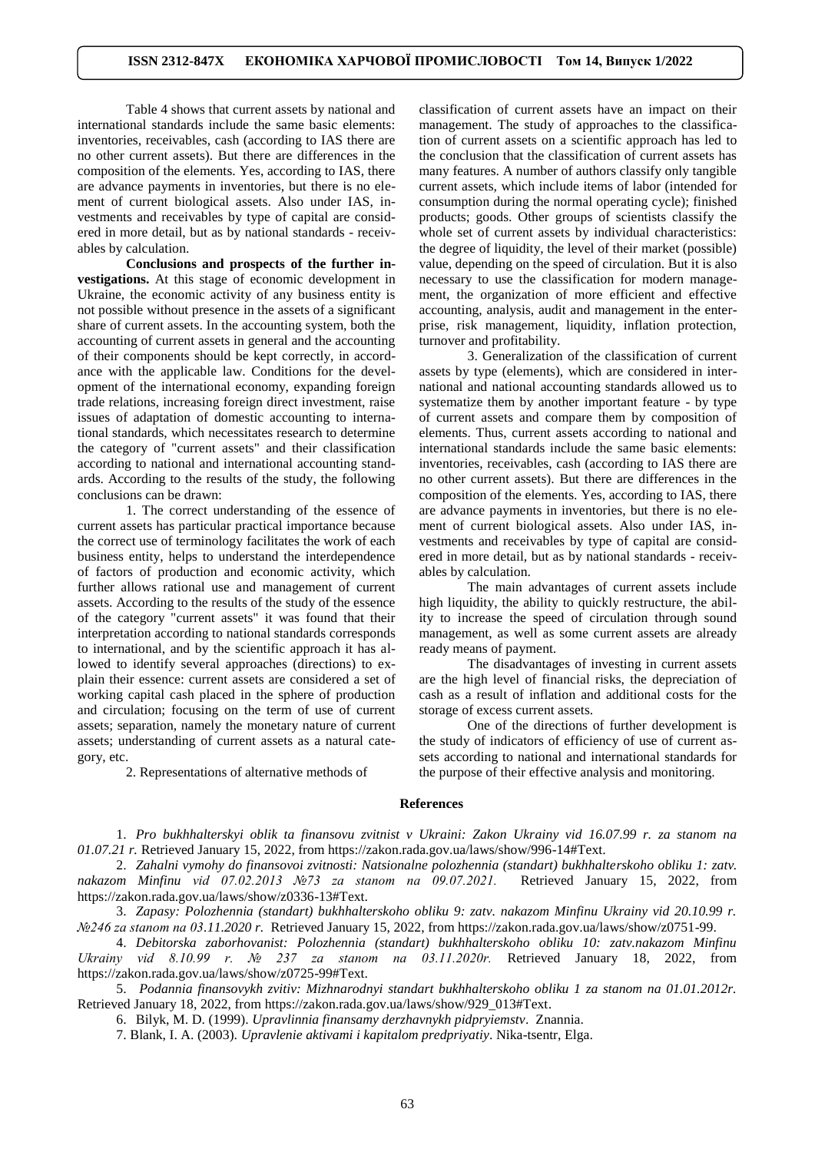Table 4 shows that current assets by national and international standards include the same basic elements: inventories, receivables, cash (according to IAS there are no other current assets). But there are differences in the composition of the elements. Yes, according to IAS, there are advance payments in inventories, but there is no element of current biological assets. Also under IAS, investments and receivables by type of capital are considered in more detail, but as by national standards - receivables by calculation.

**Conclusions and prospects of the further investigations.** At this stage of economic development in Ukraine, the economic activity of any business entity is not possible without presence in the assets of a significant share of current assets. In the accounting system, both the accounting of current assets in general and the accounting of their components should be kept correctly, in accordance with the applicable law. Conditions for the development of the international economy, expanding foreign trade relations, increasing foreign direct investment, raise issues of adaptation of domestic accounting to international standards, which necessitates research to determine the category of "current assets" and their classification according to national and international accounting standards. According to the results of the study, the following conclusions can be drawn:

1. The correct understanding of the essence of current assets has particular practical importance because the correct use of terminology facilitates the work of each business entity, helps to understand the interdependence of factors of production and economic activity, which further allows rational use and management of current assets. According to the results of the study of the essence of the category "current assets" it was found that their interpretation according to national standards corresponds to international, and by the scientific approach it has allowed to identify several approaches (directions) to explain their essence: current assets are considered a set of working capital cash placed in the sphere of production and circulation; focusing on the term of use of current assets; separation, namely the monetary nature of current assets; understanding of current assets as a natural category, etc.

2. Representations of alternative methods of

classification of current assets have an impact on their management. The study of approaches to the classification of current assets on a scientific approach has led to the conclusion that the classification of current assets has many features. A number of authors classify only tangible current assets, which include items of labor (intended for consumption during the normal operating cycle); finished products; goods. Other groups of scientists classify the whole set of current assets by individual characteristics: the degree of liquidity, the level of their market (possible) value, depending on the speed of circulation. But it is also necessary to use the classification for modern management, the organization of more efficient and effective accounting, analysis, audit and management in the enterprise, risk management, liquidity, inflation protection, turnover and profitability.

3. Generalization of the classification of current assets by type (elements), which are considered in international and national accounting standards allowed us to systematize them by another important feature - by type of current assets and compare them by composition of elements. Thus, current assets according to national and international standards include the same basic elements: inventories, receivables, cash (according to IAS there are no other current assets). But there are differences in the composition of the elements. Yes, according to IAS, there are advance payments in inventories, but there is no element of current biological assets. Also under IAS, investments and receivables by type of capital are considered in more detail, but as by national standards - receivables by calculation.

The main advantages of current assets include high liquidity, the ability to quickly restructure, the ability to increase the speed of circulation through sound management, as well as some current assets are already ready means of payment.

The disadvantages of investing in current assets are the high level of financial risks, the depreciation of cash as a result of inflation and additional costs for the storage of excess current assets.

One of the directions of further development is the study of indicators of efficiency of use of current assets according to national and international standards for the purpose of their effective analysis and monitoring.

#### **References**

1. *Pro bukhhalterskyi oblik ta finansovu zvitnist v Ukraini: Zakon Ukrainy vid 16.07.99 r. za stanom na 01.07.21 r.* Retrieved January 15, 2022, from https://zakon.rada.gov.ua/laws/show/996-14#Text.

2. *Zahalni vymohy do finansovoi zvitnosti: Natsionalne polozhennia (standart) bukhhalterskoho obliku 1: zatv. nakazom Minfinu vid 07.02.2013 №73 za stanom na 09.07.2021.* Retrieved January 15, 2022, from https://zakon.rada.gov.ua/laws/show/z0336-13#Text.

3. *Zapasy: Polozhennia (standart) bukhhalterskoho obliku 9: zatv. nakazom Minfinu Ukrainy vid 20.10.99 r. №246 za stanom na 03.11.2020 r.* Retrieved January 15, 2022, from https://zakon.rada.gov.ua/laws/show/z0751-99.

4. *Debitorska zaborhovanist: Polozhennia (standart) bukhhalterskoho obliku 10: zatv.nakazom Minfinu Ukrainy vid 8.10.99 r. № 237 za stanom na 03.11.2020r.* Retrieved January 18, 2022, from https://zakon.rada.gov.ua/laws/show/z0725-99#Text.

5. *Podannia finansovykh zvitiv: Mizhnarodnyi standart bukhhalterskoho obliku 1 za stanom na 01.01.2012r.* Retrieved January 18, 2022, from [https://zakon.rada.gov.ua/laws/show/929\\_013#Text.](https://zakon.rada.gov.ua/laws/show/929_013#Text)

6. Bilyk, M. D. (1999). *Upravlinnia finansamy derzhavnykh pidpryiemstv*. Znannia.

7. Blank, I. A. (2003). *Upravlenie aktivami i kapitalom predpriyatiy*. Nika-tsentr, Elga.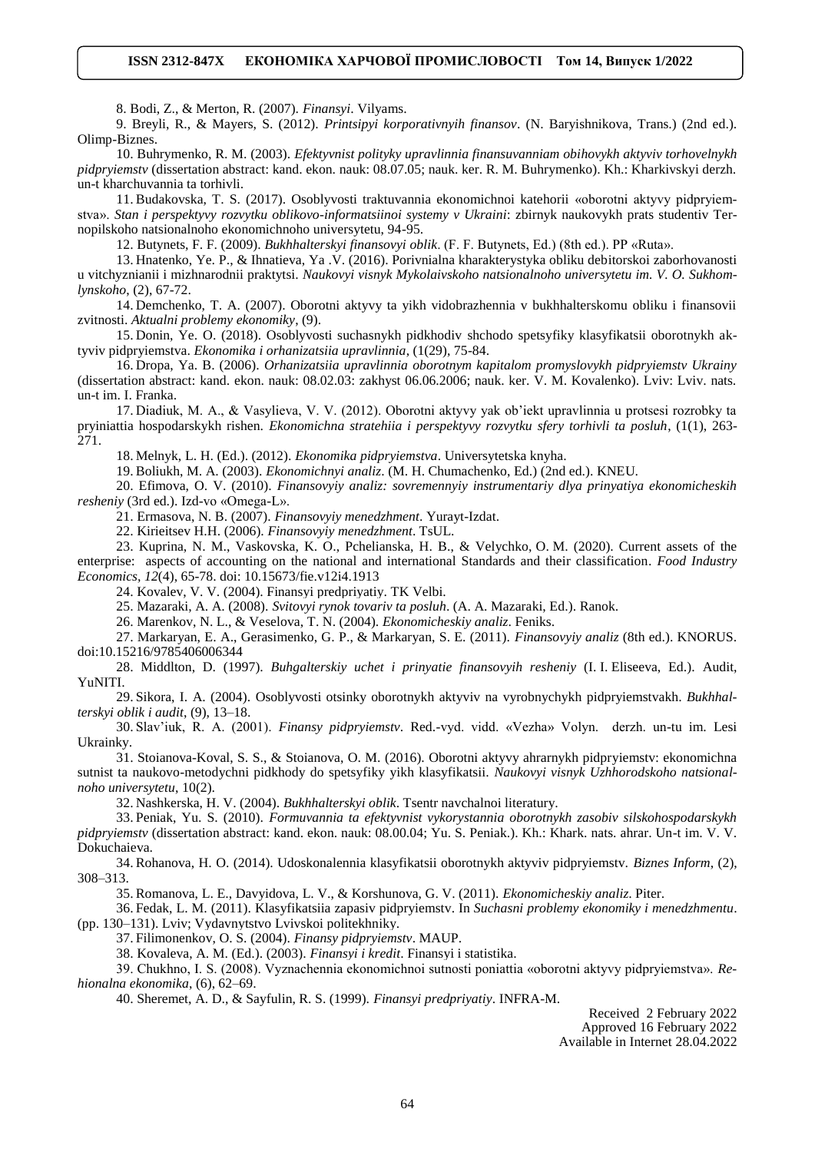8. Bodi, Z., & Merton, R. (2007). *Finansyi*. Vilyams.

9. Breyli, R., & Mayers, S. (2012). *Printsipyi korporativnyih finansov*. (N. Baryishnikova, Trans.) (2nd ed.). Olimp-Biznes.

10. Buhrymenko, R. M. (2003). *Efektyvnist polityky upravlinnia finansuvanniam obihovykh aktyviv torhovelnykh pidpryiemstv* (dissertation abstract: kand. ekon. nauk: 08.07.05; nauk. ker. R. M. Buhrymenko). Kh.: Kharkivskyi derzh. un-t kharchuvannia ta torhivli.

11. Budakovska, T. S. (2017). Osoblyvosti traktuvannia ekonomichnoi katehorii «oborotni aktyvy pidpryiemstva». *Stan i perspektyvy rozvytku oblikovo-informatsiinoi systemy v Ukraini*: zbirnyk naukovykh prats studentiv Ternopilskoho natsionalnoho ekonomichnoho universytetu, 94-95.

12. Butynets, F. F. (2009). *Bukhhalterskyi finansovyi oblik*. (F. F. Butynets, Ed.) (8th ed.). PP «Ruta».

13. Hnatenko, Ye. P., & Ihnatieva, Ya .V. (2016). Porivnialna kharakterystyka obliku debitorskoi zaborhovanosti u vitchyznianii i mizhnarodnii praktytsi. *Naukovyi visnyk Mykolaivskoho natsionalnoho universytetu im. V. O. Sukhomlynskoho*, (2), 67-72.

14. Demchenko, T. A. (2007). Oborotni aktyvy ta yikh vidobrazhennia v bukhhalterskomu obliku i finansovii zvitnosti. *Aktualni problemy ekonomiky*, (9).

15. Donin, Ye. O. (2018). Osoblyvosti suchasnykh pidkhodiv shchodo spetsyfiky klasyfikatsii oborotnykh aktyviv pidpryiemstva. *Ekonomika i orhanizatsiia upravlinnia*, (1(29), 75-84.

16. Dropa, Ya. B. (2006). *Orhanizatsiia upravlinnia oborotnym kapitalom promyslovykh pidpryiemstv Ukrainy* (dissertation abstract: kand. ekon. nauk: 08.02.03: zakhyst 06.06.2006; nauk. ker. V. M. Kovalenko). Lviv: Lviv. nats. un-t im. I. Franka.

17. Diadiuk, M. A., & Vasylieva, V. V. (2012). Oborotni aktyvy yak ob'iekt upravlinnia u protsesi rozrobky ta pryiniattia hospodarskykh rishen. *Ekonomichna stratehiia i perspektyvy rozvytku sfery torhivli ta posluh*, (1(1), 263- 271.

18. Melnyk, L. H. (Ed.). (2012). *Ekonomika pidpryiemstva*. Universytetska knyha.

19. Boliukh, M. A. (2003). *Ekonomichnyi analiz*. (M. H. Chumachenko, Ed.) (2nd ed.). KNEU.

20. Efimova, O. V. (2010). *Finansovyiy analiz: sovremennyiy instrumentariy dlya prinyatiya ekonomicheskih resheniy* (3rd ed.). Izd-vo «Omega-L».

21. Ermasova, N. B. (2007). *Finansovyiy menedzhment*. Yurayt-Izdat.

22. Kirieitsev H.H. (2006). *Finansovyiy menedzhment*. TsUL.

23. Kuprina, N. M., Vaskovska, K. O., Pchelianska, H. B., & Velychko, O. M. (2020). Current assets of the enterprise: aspects of accounting on the national and international Standards and their classification. *Food Industry Economics, 12*(4), 65-78. doi: 10.15673/fie.v12i4.1913

24. Kovalev, V. V. (2004). Finansyi predpriyatiy. TK Velbi.

25. Mazaraki, A. A. (2008). *Svitovyi rynok tovariv ta posluh*. (A. A. Mazaraki, Ed.). Ranok.

26. Marenkov, N. L., & Veselova, T. N. (2004). *Ekonomicheskiy analiz*. Feniks.

27. Markaryan, E. A., Gerasimenko, G. P., & Markaryan, S. E. (2011). *Finansovyiy analiz* (8th ed.). KNORUS. [doi:10.15216/9785406006344](https://doi.org/10.15216/9785406006344)

28. Middlton, D. (1997). *Buhgalterskiy uchet i prinyatie finansovyih resheniy* (I. I. Eliseeva, Ed.). Audit, YuNITI.

29. Sikora, I. A. (2004). Osoblyvosti otsinky oborotnykh aktyviv na vyrobnychykh pidpryiemstvakh. *Bukhhalterskyi oblik i audit*, (9), 13–18.

30. Slav'iuk, R. A. (2001). *Finansy pidpryiemstv*. Red.-vyd. vidd. «Vezha» Volyn. derzh. un-tu im. Lesi Ukrainky.

31. Stoianova-Koval, S. S., & Stoianova, O. M. (2016). Oborotni aktyvy ahrarnykh pidpryiemstv: ekonomichna sutnist ta naukovo-metodychni pidkhody do spetsyfiky yikh klasyfikatsii. *Naukovyi visnyk Uzhhorodskoho natsionalnoho universytetu*, 10(2).

32. Nashkerska, H. V. (2004). *Bukhhalterskyi oblik*. Tsentr navchalnoi literatury.

33. Peniak, Yu. S. (2010). *Formuvannia ta efektyvnist vykorystannia oborotnykh zasobiv silskohospodarskykh pidpryiemstv* (dissertation abstract: kand. ekon. nauk: 08.00.04; Yu. S. Peniak.). Kh.: Khark. nats. ahrar. Un-t im. V. V. Dokuchaieva.

34. Rohanova, H. O. (2014). Udoskonalennia klasyfikatsii oborotnykh aktyviv pidpryiemstv. *Biznes Inform*, (2), 308–313.

35. Romanova, L. E., Davyidova, L. V., & Korshunova, G. V. (2011). *Ekonomicheskiy analiz*. Piter.

36. Fedak, L. M. (2011). Klasyfikatsiia zapasiv pidpryiemstv. In *Suchasni problemy ekonomiky i menedzhmentu*. (pp. 130–131). Lviv; Vydavnytstvo Lvivskoi politekhniky.

37. Filimonenkov, O. S. (2004). *Finansy pidpryiemstv*. MAUP.

38. Kovaleva, A. M. (Ed.). (2003). *Finansyi i kredit*. Finansyi i statistika.

39. Chukhno, I. S. (2008). Vyznachennia ekonomichnoi sutnosti poniattia «oborotni aktyvy pidpryiemstva». *Rehionalna ekonomika*, (6), 62–69.

40. Sheremet, A. D., & Sayfulin, R. S. (1999). *Finansyi predpriyatiy*. INFRA-M.

Received 2 February 2022 Approved 16 February 2022 Available in Internet 28.04.2022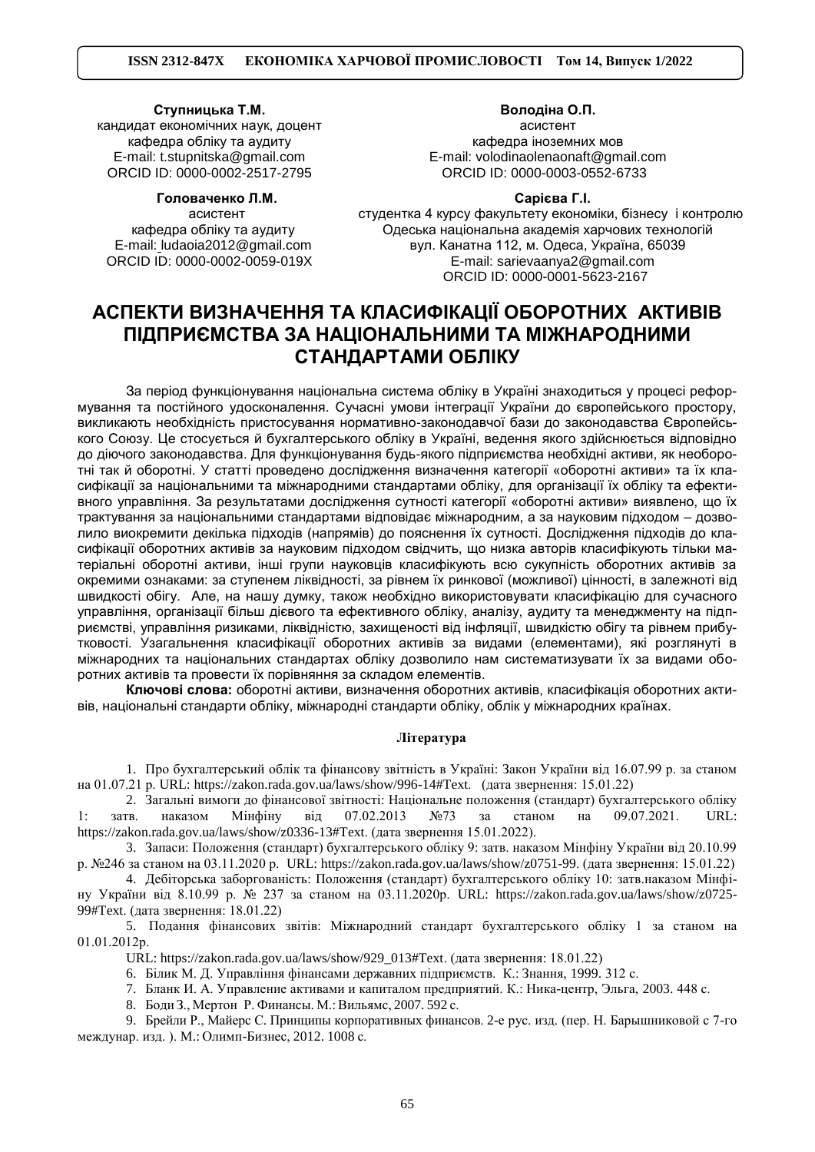#### **Ступницька Т.М.**

кандидат економічних наук, доцент кафедра обліку та аудиту E-mail: [t.stupnitska@gmail.com](mailto:t.stupnitska@gmail.com) ORCID ID: 0000-0002-2517-2795

**Головаченко Л.М.**

асистент кафедра обліку та аудиту E-mail: [ludaoia2012@gmail.com](mailto:%20t.stupnitska@) ORCID ID: 0000-0002-0059-019X

**Володіна О.П.** асистент кафедра іноземних мов E-mail: volodinaolenaonaft@gmail.com ORCID ID: 0000-0003-0552-6733

# **Сарієва Г.І.**

студентка 4 курсу факультету економіки, бізнесу і контролю Одеська національна академія харчових технологій вул. Канатна 112, м. Одеса, Україна, 65039 E-mail: sarievaanya2@gmail.com ORCID ID: 0000-0001-5623-2167

# **АСПЕКТИ ВИЗНАЧЕННЯ ТА КЛАСИФІКАЦІЇ ОБОРОТНИХ АКТИВІВ ПІДПРИЄМСТВА ЗА НАЦІОНАЛЬНИМИ ТА МІЖНАРОДНИМИ СТАНДАРТАМИ ОБЛІКУ**

За період функціонування національна система обліку в Україні знаходиться у процесі реформування та постійного удосконалення. Сучасні умови інтеграції України до європейського простору, викликають необхідність пристосування нормативно-законодавчої бази до законодавства Європейського Союзу. Це стосується й бухгалтерського обліку в Україні, ведення якого здійснюється відповідно до діючого законодавства. Для функціонування будь-якого підприємства необхідні активи, як необоротні так й оборотні. У статті проведено дослідження визначення категорії «оборотні активи» та їх класифікації за національними та міжнародними стандартами обліку, для організації їх обліку та ефективного управління. За результатами дослідження сутності категорії «оборотні активи» виявлено, що їх трактування за національними стандартами відповідає міжнародним, а за науковим підходом – дозволило виокремити декілька підходів (напрямів) до пояснення їх сутності. Дослідження підходів до класифікації оборотних активів за науковим підходом свідчить, що низка авторів класифікують тільки матеріальні оборотні активи, інші групи науковців класифікують всю сукупність оборотних активів за окремими ознаками: за ступенем ліквідності, за рівнем їх ринкової (можливої) цінності, в залежноті від швидкості обігу. Але, на нашу думку, також необхідно використовувати класифікацію для сучасного управління, організації більш дієвого та ефективного обліку, аналізу, аудиту та менеджменту на підприємстві, управління ризиками, ліквідністю, захищеності від інфляції, швидкістю обігу та рівнем прибутковості. Узагальнення класифікації оборотних активів за видами (елементами), які розглянуті в міжнародних та національних стандартах обліку дозволило нам систематизувати їх за видами оборотних активів та провести їх порівняння за складом елементів.

**Ключові слова:** оборотні активи, визначення оборотних активів, класифікація оборотних активів, національні стандарти обліку, міжнародні стандарти обліку, облік у міжнародних країнах.

### **Література**

1. Про бухгалтерський облік та фінансову звітність в Україні: Закон України від 16.07.99 р. за станом на 01.07.21 р. URL: [https://zakon.rada.gov.ua/laws/show/996-14#Text. \(дата](https://zakon.rada.gov.ua/laws/show/996-14#Text.   (дата) звернення: 15.01.22)

2. Загальні вимоги до фінансової звітності: Національне положення (стандарт) бухгалтерського обліку 1: затв. наказом Мінфіну від 07.02.2013 №73 за станом на 09.07.2021. URL: [https://zakon.rada.gov.ua/laws/show/z0336-13#Text.](https://zakon.rada.gov.ua/laws/show/z0336-13#Text) (дата звернення 15.01.2022).

3. Запаси: Положення (стандарт) бухгалтерського обліку 9: затв. наказом Мінфіну України від 20.10.99 р. №246 за станом на 03.11.2020 р. URL[: https://zakon.rada.gov.ua/laws/show/z0751-99.](https://zakon.rada.gov.ua/laws/show/z0751-99) (дата звернення: 15.01.22)

4. Дебіторська заборгованість: Положення (стандарт) бухгалтерського обліку 10: затв.наказом Мінфіну України від 8.10.99 р. № 237 за станом на 03.11.2020р. URL: [https://zakon.rada.gov.ua/laws/show/z0725-](https://zakon.rada.gov.ua/laws/show/z0725-99#Text) [99#Text.](https://zakon.rada.gov.ua/laws/show/z0725-99#Text) (дата звернення: 18.01.22)

5. Подання фінансових звітів: Міжнародний стандарт бухгалтерського обліку 1 за станом на 01.01.2012р.

URL: [https://zakon.rada.gov.ua/laws/show/929\\_013#Text.](https://zakon.rada.gov.ua/laws/show/929_013#Text) (дата звернення: 18.01.22)

6. Білик М. Д. Управління фінансами державних підприємств. К.: Знання, 1999. 312 с.

7. Бланк И. А. Управление активами и капиталом предприятий. К.: Ника-центр, Эльга, 2003. 448 с.

8. Боди З., Мертон Р. Финансы. М.:Вильямс, 2007. 592 с.

9. Брейли Р., Майерс С. Принципы корпоративных финансов. 2-е рус. изд. (пер. Н. Барышниковой с 7-го междунар. изд. ). M.: Олимп-Бизнес, 2012. 1008 с.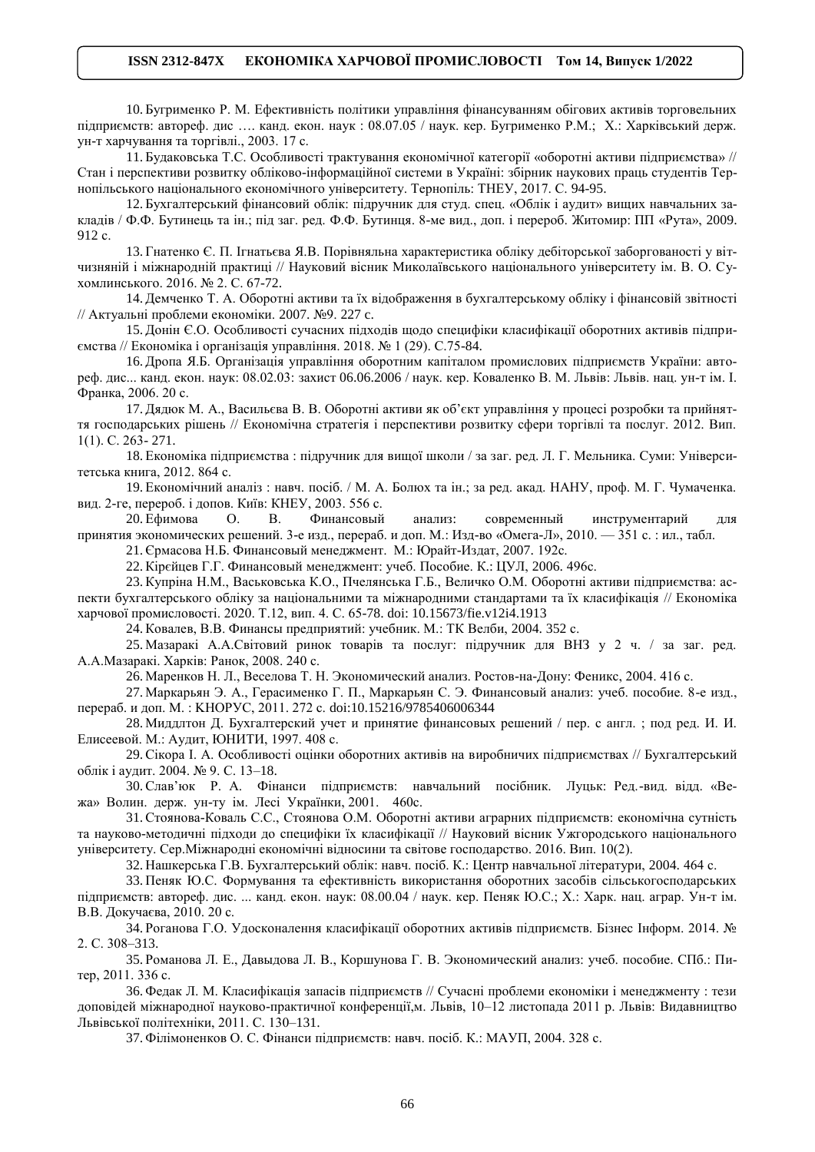10. Бугрименко Р. М. Ефективність політики управління фінансуванням обігових активів торговельних підприємств: автореф. дис …. канд. екон. наук : 08.07.05 / наук. кер. Бугрименко Р.М.; Х.: Харківський держ. ун-т харчування та торгівлі., 2003. 17 с.

11. Будаковська Т.С. Особливості трактування економічної категорії «оборотні активи підприємства» // Стан і перспективи розвитку обліково-інформаційної системи в Україні: збірник наукових праць студентів Тернопільського національного економічного університету. Тернопіль: ТНЕУ, 2017. С. 94-95.

12. Бухгалтерський фінансовий облік: підручник для студ. спец. «Облік і аудит» вищих навчальних закладів / Ф.Ф. Бутинець та ін.; під заг. ред. Ф.Ф. Бутинця. 8-ме вид., доп. і перероб. Житомир: ПП «Рута», 2009. 912 с.

13. Гнатенко Є. П. Ігнатьєва Я.В. Порівняльна характеристика обліку дебіторської заборгованості у вітчизняній і міжнародній практиці // Науковий вісник Миколаївського національного університету ім. В. О. Сухомлинського. 2016. № 2. С. 67-72.

14. Демченко Т. А. Оборотні активи та їх відображення в бухгалтерському обліку і фінансовій звітності // Актуальні проблеми економіки. 2007. №9. 227 c.

15. Донін Є.О. Особливості сучасних підходів щодо специфіки класифікації оборотних активів підприємства // Економiка i органiзацiя управлiння. 2018. № 1 (29). С.75-84.

16. Дропа Я.Б. Організація управління оборотним капіталом промислових підприємств України: автореф. дис... канд. екон. наук: 08.02.03: захист 06.06.2006 / наук. кер. Коваленко В. М. Львів: Львів. нац. ун-т ім. І. Франка, 2006. 20 с.

17. Дядюк М. А., Васильєва В. В. Оборотні активи як об'єкт управління у процесі розробки та прийняття господарських рішень // Економічна стратегія і перспективи розвитку сфери торгівлі та послуг. 2012. Вип. 1(1). С. 263- 271.

18. Економіка підприємства : підручник для вищої школи / за заг. ред. Л. Г. Мельника. Суми: Університетська книга, 2012. 864 с.

19. Економічний аналіз : навч. посіб. / М. А. Болюх та ін.; за ред. акад. НАНУ, проф. М. Г. Чумаченка. вид. 2-ге, перероб. і допов. Київ: КНЕУ, 2003. 556 с.

20. Ефимова О. В. Финансовый анализ: современный инструментарий для принятия экономических решений. 3-е изд., перераб. и доп. М.: Изд-во «Омега-Л», 2010. — 351 с. : ил., табл.

21. Єрмасова Н.Б. Финансовый менеджмент. М.: Юрайт-Издат, 2007. 192с.

22. Кірєйцев Г.Г. Финансовый менеджмент: учеб. Пособие. К.: ЦУЛ, 2006. 496с.

23. Купріна Н.М., Васьковська К.О., Пчелянська Г.Б., Величко О.М. Оборотні активи підприємства: аспекти бухгалтерського обліку за національними та міжнародними стандартами та їх класифікація // Економіка харчової промисловості. 2020. Т.12, вип. 4. С. 65-78. doi: 10.15673/fie.v12i4.1913

24. Ковалев, В.В. Финансы предприятий: учебник. М.: ТК Велби, 2004. 352 с.

25. Мазаракі А.А.Світовий ринок товарів та послуг: підручник для ВНЗ у 2 ч. / за заг. ред. А.А.Мазаракі. Харків: Ранок, 2008. 240 с.

26. Маренков Н. Л., Веселова Т. Н. Экономический анализ. Ростов-на-Дону: Феникс, 2004. 416 с.

27. Маркарьян Э. А., Герасименко Г. П., Маркарьян С. Э. Финансовый анализ: учеб. пособие. 8-е изд., перераб. и доп. М. : KНОРУС, 2011. 272 с. [doi:10.15216/9785406006344](https://doi.org/10.15216/9785406006344)

28. Миддлтон Д. Бухгалтерский учет и принятие финансовых решений / пер. с англ. ; под ред. И. И. Елисеевой. М.: Аудит, ЮНИТИ, 1997. 408 с.

29. Сікора І. А. Особливості оцінки оборотних активів на виробничих підприємствах // Бухгалтерський облік і аудит. 2004. № 9. С. 13–18.

30. Слав'юк Р. А. Фінанси підприємств: навчальний посібник. Луцьк: Ред.-вид. відд. «Вежа» Волин. держ. ун-ту ім. Лесі Українки, 2001. 460c.

31. Стоянова-Коваль С.С., Стоянова О.М. Оборотні активи аграрних підприємств: економічна сутність та науково-методичні підходи до специфіки їх класифікації // Науковий вісник Ужгородського національного університету. Сер.Міжнародні економічні відносини та світове господарство. 2016. Вип. 10(2).

32. Нашкерська Г.В. Бухгалтерський облік: навч. посіб. К.: Центр навчальної літератури, 2004. 464 с.

33. Пеняк Ю.С. Формування та ефективність використання оборотних засобів сільськогосподарських підприємств: автореф. дис. ... канд. екон. наук: 08.00.04 / наук. кер. Пеняк Ю.С.; Х.: Харк. нац. аграр. Ун-т ім. В.В. Докучаєва, 2010. 20 с.

34. Роганова Г.О. Удосконалення класифікації оборотних активів підприємств. Бізнес Інформ. 2014. № 2. С. 308–313.

35. Романова Л. Е., Давыдова Л. В., Коршунова Г. В. Экономический анализ: учеб. пособие. СПб.: Питер, 2011. 336 с.

36. Федак Л. М. Класифікація запасів підприємств // Сучасні проблеми економіки і менеджменту : тези доповідей міжнародної науково-практичної конференції,м. Львів, 10–12 листопада 2011 р. Львів: Видавництво Львівської політехніки, 2011. С. 130–131.

37. Філімоненков О. С. Фінанси підприємств: навч. посіб. К.: МАУП, 2004. 328 с.